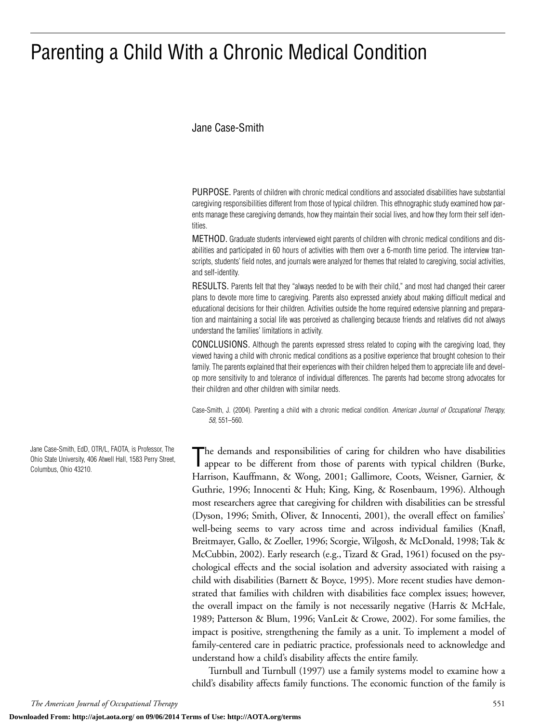# Parenting a Child With a Chronic Medical Condition

## Jane Case-Smith

PURPOSE. Parents of children with chronic medical conditions and associated disabilities have substantial caregiving responsibilities different from those of typical children. This ethnographic study examined how parents manage these caregiving demands, how they maintain their social lives, and how they form their self identities.

METHOD. Graduate students interviewed eight parents of children with chronic medical conditions and disabilities and participated in 60 hours of activities with them over a 6-month time period. The interview transcripts, students' field notes, and journals were analyzed for themes that related to caregiving, social activities, and self-identity.

RESULTS. Parents felt that they "always needed to be with their child," and most had changed their career plans to devote more time to caregiving. Parents also expressed anxiety about making difficult medical and educational decisions for their children. Activities outside the home required extensive planning and preparation and maintaining a social life was perceived as challenging because friends and relatives did not always understand the families' limitations in activity.

CONCLUSIONS. Although the parents expressed stress related to coping with the caregiving load, they viewed having a child with chronic medical conditions as a positive experience that brought cohesion to their family. The parents explained that their experiences with their children helped them to appreciate life and develop more sensitivity to and tolerance of individual differences. The parents had become strong advocates for their children and other children with similar needs.

Case-Smith, J. (2004). Parenting a child with a chronic medical condition. *American Journal of Occupational Therapy, 58,* 551–560.

The demands and responsibilities of caring for children who have disabilities appear to be different from those of parents with typical children (Burke, appear to be different from those of parents with typical children (Burke, Harrison, Kauffmann, & Wong, 2001; Gallimore, Coots, Weisner, Garnier, & Guthrie, 1996; Innocenti & Huh; King, King, & Rosenbaum, 1996). Although most researchers agree that caregiving for children with disabilities can be stressful (Dyson, 1996; Smith, Oliver, & Innocenti, 2001), the overall effect on families' well-being seems to vary across time and across individual families (Knafl, Breitmayer, Gallo, & Zoeller, 1996; Scorgie, Wilgosh, & McDonald, 1998; Tak & McCubbin, 2002). Early research (e.g., Tizard & Grad, 1961) focused on the psychological effects and the social isolation and adversity associated with raising a child with disabilities (Barnett & Boyce, 1995). More recent studies have demonstrated that families with children with disabilities face complex issues; however, the overall impact on the family is not necessarily negative (Harris & McHale, 1989; Patterson & Blum, 1996; VanLeit & Crowe, 2002). For some families, the impact is positive, strengthening the family as a unit. To implement a model of family-centered care in pediatric practice, professionals need to acknowledge and understand how a child's disability affects the entire family.

Turnbull and Turnbull (1997) use a family systems model to examine how a child's disability affects family functions. The economic function of the family is

Jane Case-Smith, EdD, OTR/L, FAOTA, is Professor, The Ohio State University, 406 Atwell Hall, 1583 Perry Street, Columbus, Ohio 43210.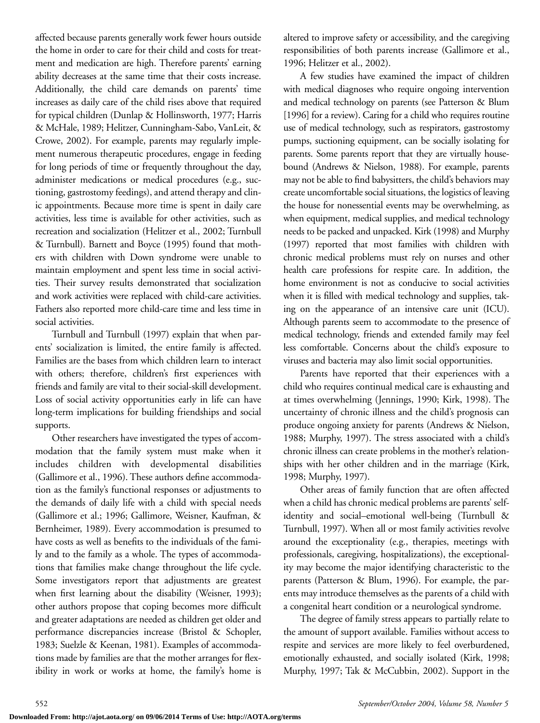affected because parents generally work fewer hours outside the home in order to care for their child and costs for treatment and medication are high. Therefore parents' earning ability decreases at the same time that their costs increase. Additionally, the child care demands on parents' time increases as daily care of the child rises above that required for typical children (Dunlap & Hollinsworth, 1977; Harris & McHale, 1989; Helitzer, Cunningham-Sabo, VanLeit, & Crowe, 2002). For example, parents may regularly implement numerous therapeutic procedures, engage in feeding for long periods of time or frequently throughout the day, administer medications or medical procedures (e.g., suctioning, gastrostomy feedings), and attend therapy and clinic appointments. Because more time is spent in daily care activities, less time is available for other activities, such as recreation and socialization (Helitzer et al., 2002; Turnbull & Turnbull). Barnett and Boyce (1995) found that mothers with children with Down syndrome were unable to maintain employment and spent less time in social activities. Their survey results demonstrated that socialization and work activities were replaced with child-care activities. Fathers also reported more child-care time and less time in social activities.

Turnbull and Turnbull (1997) explain that when parents' socialization is limited, the entire family is affected. Families are the bases from which children learn to interact with others; therefore, children's first experiences with friends and family are vital to their social-skill development. Loss of social activity opportunities early in life can have long-term implications for building friendships and social supports.

Other researchers have investigated the types of accommodation that the family system must make when it includes children with developmental disabilities (Gallimore et al., 1996). These authors define accommodation as the family's functional responses or adjustments to the demands of daily life with a child with special needs (Gallimore et al.; 1996; Gallimore, Weisner, Kaufman, & Bernheimer, 1989). Every accommodation is presumed to have costs as well as benefits to the individuals of the family and to the family as a whole. The types of accommodations that families make change throughout the life cycle. Some investigators report that adjustments are greatest when first learning about the disability (Weisner, 1993); other authors propose that coping becomes more difficult and greater adaptations are needed as children get older and performance discrepancies increase (Bristol & Schopler, 1983; Suelzle & Keenan, 1981). Examples of accommodations made by families are that the mother arranges for flexibility in work or works at home, the family's home is altered to improve safety or accessibility, and the caregiving responsibilities of both parents increase (Gallimore et al., 1996; Helitzer et al., 2002).

A few studies have examined the impact of children with medical diagnoses who require ongoing intervention and medical technology on parents (see Patterson & Blum [1996] for a review). Caring for a child who requires routine use of medical technology, such as respirators, gastrostomy pumps, suctioning equipment, can be socially isolating for parents. Some parents report that they are virtually housebound (Andrews & Nielson, 1988). For example, parents may not be able to find babysitters, the child's behaviors may create uncomfortable social situations, the logistics of leaving the house for nonessential events may be overwhelming, as when equipment, medical supplies, and medical technology needs to be packed and unpacked. Kirk (1998) and Murphy (1997) reported that most families with children with chronic medical problems must rely on nurses and other health care professions for respite care. In addition, the home environment is not as conducive to social activities when it is filled with medical technology and supplies, taking on the appearance of an intensive care unit (ICU). Although parents seem to accommodate to the presence of medical technology, friends and extended family may feel less comfortable. Concerns about the child's exposure to viruses and bacteria may also limit social opportunities.

Parents have reported that their experiences with a child who requires continual medical care is exhausting and at times overwhelming (Jennings, 1990; Kirk, 1998). The uncertainty of chronic illness and the child's prognosis can produce ongoing anxiety for parents (Andrews & Nielson, 1988; Murphy, 1997). The stress associated with a child's chronic illness can create problems in the mother's relationships with her other children and in the marriage (Kirk, 1998; Murphy, 1997).

Other areas of family function that are often affected when a child has chronic medical problems are parents' selfidentity and social–emotional well-being (Turnbull & Turnbull, 1997). When all or most family activities revolve around the exceptionality (e.g., therapies, meetings with professionals, caregiving, hospitalizations), the exceptionality may become the major identifying characteristic to the parents (Patterson & Blum, 1996). For example, the parents may introduce themselves as the parents of a child with a congenital heart condition or a neurological syndrome.

The degree of family stress appears to partially relate to the amount of support available. Families without access to respite and services are more likely to feel overburdened, emotionally exhausted, and socially isolated (Kirk, 1998; Murphy, 1997; Tak & McCubbin, 2002). Support in the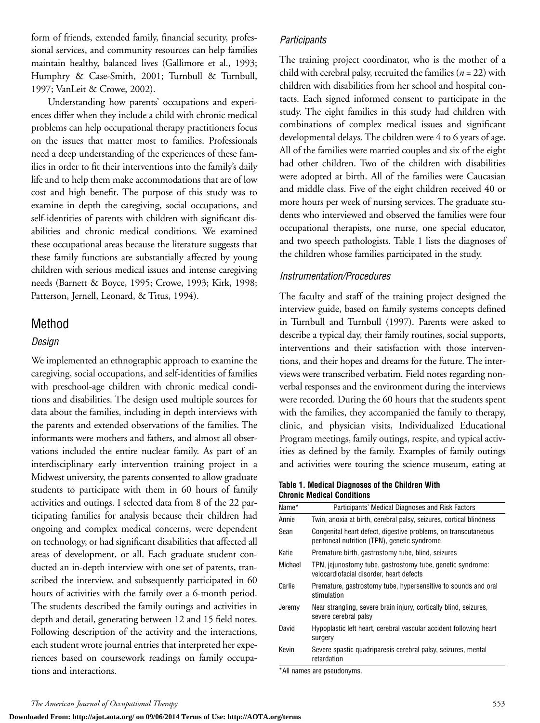form of friends, extended family, financial security, professional services, and community resources can help families maintain healthy, balanced lives (Gallimore et al., 1993; Humphry & Case-Smith, 2001; Turnbull & Turnbull, 1997; VanLeit & Crowe, 2002).

Understanding how parents' occupations and experiences differ when they include a child with chronic medical problems can help occupational therapy practitioners focus on the issues that matter most to families. Professionals need a deep understanding of the experiences of these families in order to fit their interventions into the family's daily life and to help them make accommodations that are of low cost and high benefit. The purpose of this study was to examine in depth the caregiving, social occupations, and self-identities of parents with children with significant disabilities and chronic medical conditions. We examined these occupational areas because the literature suggests that these family functions are substantially affected by young children with serious medical issues and intense caregiving needs (Barnett & Boyce, 1995; Crowe, 1993; Kirk, 1998; Patterson, Jernell, Leonard, & Titus, 1994).

# Method

#### *Design*

We implemented an ethnographic approach to examine the caregiving, social occupations, and self-identities of families with preschool-age children with chronic medical conditions and disabilities. The design used multiple sources for data about the families, including in depth interviews with the parents and extended observations of the families. The informants were mothers and fathers, and almost all observations included the entire nuclear family. As part of an interdisciplinary early intervention training project in a Midwest university, the parents consented to allow graduate students to participate with them in 60 hours of family activities and outings. I selected data from 8 of the 22 participating families for analysis because their children had ongoing and complex medical concerns, were dependent on technology, or had significant disabilities that affected all areas of development, or all. Each graduate student conducted an in-depth interview with one set of parents, transcribed the interview, and subsequently participated in 60 hours of activities with the family over a 6-month period. The students described the family outings and activities in depth and detail, generating between 12 and 15 field notes. Following description of the activity and the interactions, each student wrote journal entries that interpreted her experiences based on coursework readings on family occupations and interactions.

### *Participants*

The training project coordinator, who is the mother of a child with cerebral palsy, recruited the families (*n* = 22) with children with disabilities from her school and hospital contacts. Each signed informed consent to participate in the study. The eight families in this study had children with combinations of complex medical issues and significant developmental delays. The children were 4 to 6 years of age. All of the families were married couples and six of the eight had other children. Two of the children with disabilities were adopted at birth. All of the families were Caucasian and middle class. Five of the eight children received 40 or more hours per week of nursing services. The graduate students who interviewed and observed the families were four occupational therapists, one nurse, one special educator, and two speech pathologists. Table 1 lists the diagnoses of the children whose families participated in the study.

#### *Instrumentation/Procedures*

The faculty and staff of the training project designed the interview guide, based on family systems concepts defined in Turnbull and Turnbull (1997). Parents were asked to describe a typical day, their family routines, social supports, interventions and their satisfaction with those interventions, and their hopes and dreams for the future. The interviews were transcribed verbatim. Field notes regarding nonverbal responses and the environment during the interviews were recorded. During the 60 hours that the students spent with the families, they accompanied the family to therapy, clinic, and physician visits, Individualized Educational Program meetings, family outings, respite, and typical activities as defined by the family. Examples of family outings and activities were touring the science museum, eating at

**Table 1. Medical Diagnoses of the Children With Chronic Medical Conditions**

| Name <sup>*</sup> | Participants' Medical Diagnoses and Risk Factors                                                               |
|-------------------|----------------------------------------------------------------------------------------------------------------|
| Annie             | Twin, anoxia at birth, cerebral palsy, seizures, cortical blindness                                            |
| Sean              | Congenital heart defect, digestive problems, on transcutaneous<br>peritoneal nutrition (TPN), genetic syndrome |
| Katie             | Premature birth, gastrostomy tube, blind, seizures                                                             |
| Michael           | TPN, jejunostomy tube, gastrostomy tube, genetic syndrome:<br>velocardiofacial disorder, heart defects         |
| Carlie            | Premature, gastrostomy tube, hypersensitive to sounds and oral<br>stimulation                                  |
| Jeremy            | Near strangling, severe brain injury, cortically blind, seizures,<br>severe cerebral palsy                     |
| David             | Hypoplastic left heart, cerebral vascular accident following heart<br>surgery                                  |
| Kevin             | Severe spastic quadriparesis cerebral palsy, seizures, mental<br>retardation                                   |

\*All names are pseudonyms.

**Downloaded From: http://ajot.aota.org/ on 09/06/2014 Terms of Use: http://AOTA.org/terms**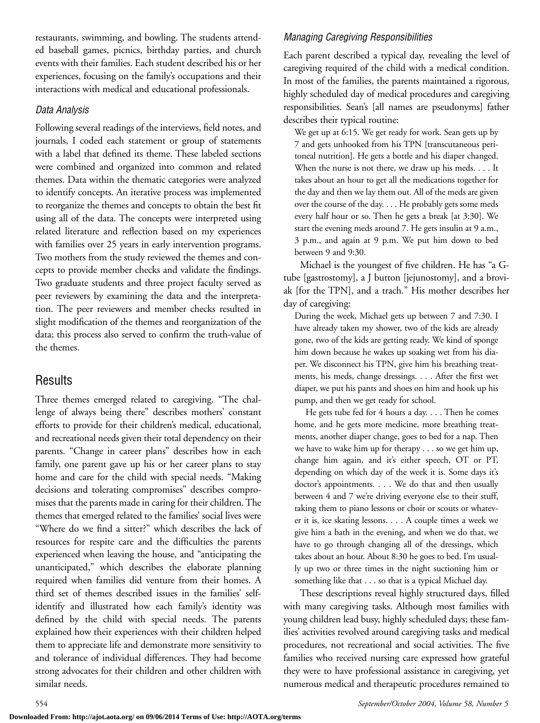restaurants, swimming, and bowling. The students attended baseball games, picnics, birthday parties, and church events with their families. Each student described his or her experiences, focusing on the family's occupations and their interactions with medical and educational professionals.

#### *Data Analysis*

Following several readings of the interviews, field notes, and journals, I coded each statement or group of statements with a label that defined its theme. These labeled sections were combined and organized into common and related themes. Data within the thematic categories were analyzed to identify concepts. An iterative process was implemented to reorganize the themes and concepts to obtain the best fit using all of the data. The concepts were interpreted using related literature and reflection based on my experiences with families over 25 years in early intervention programs. Two mothers from the study reviewed the themes and concepts to provide member checks and validate the findings. Two graduate students and three project faculty served as peer reviewers by examining the data and the interpretation. The peer reviewers and member checks resulted in slight modification of the themes and reorganization of the data; this process also served to confirm the truth-value of the themes.

# Results

Three themes emerged related to caregiving. "The challenge of always being there" describes mothers' constant efforts to provide for their children's medical, educational, and recreational needs given their total dependency on their parents. "Change in career plans" describes how in each family, one parent gave up his or her career plans to stay home and care for the child with special needs. "Making decisions and tolerating compromises" describes compromises that the parents made in caring for their children. The themes that emerged related to the families' social lives were "Where do we find a sitter?" which describes the lack of resources for respite care and the difficulties the parents experienced when leaving the house, and "anticipating the unanticipated," which describes the elaborate planning required when families did venture from their homes. A third set of themes described issues in the families' selfidentify and illustrated how each family's identity was defined by the child with special needs. The parents explained how their experiences with their children helped them to appreciate life and demonstrate more sensitivity to and tolerance of individual differences. They had become strong advocates for their children and other children with similar needs.

## *Managing Caregiving Responsibilities*

Each parent described a typical day, revealing the level of caregiving required of the child with a medical condition. In most of the families, the parents maintained a rigorous, highly scheduled day of medical procedures and caregiving responsibilities. Sean's [all names are pseudonyms] father describes their typical routine:

We get up at 6:15. We get ready for work. Sean gets up by 7 and gets unhooked from his TPN [transcutaneous peritoneal nutrition]. He gets a bottle and his diaper changed. When the nurse is not there, we draw up his meds. . . . It takes about an hour to get all the medications together for the day and then we lay them out. All of the meds are given over the course of the day. . . . He probably gets some meds every half hour or so. Then he gets a break [at 3:30]. We start the evening meds around 7. He gets insulin at 9 a.m., 3 p.m., and again at 9 p.m. We put him down to bed between 9 and 9:30.

Michael is the youngest of five children. He has "a Gtube [gastrostomy], a J button [jejunostomy], and a broviak [for the TPN], and a trach." His mother describes her day of caregiving:

During the week, Michael gets up between 7 and 7:30. I have already taken my shower, two of the kids are already gone, two of the kids are getting ready. We kind of sponge him down because he wakes up soaking wet from his diaper. We disconnect his TPN, give him his breathing treatments, his meds, change dressings. . . . After the first wet diaper, we put his pants and shoes on him and hook up his pump, and then we get ready for school.

He gets tube fed for 4 hours a day. . . . Then he comes home, and he gets more medicine, more breathing treatments, another diaper change, goes to bed for a nap. Then we have to wake him up for therapy . . . so we get him up, change him again, and it's either speech, OT or PT, depending on which day of the week it is. Some days it's doctor's appointments. . . . We do that and then usually between 4 and 7 we're driving everyone else to their stuff, taking them to piano lessons or choir or scouts or whatever it is, ice skating lessons. . . . A couple times a week we give him a bath in the evening, and when we do that, we have to go through changing all of the dressings, which takes about an hour. About 8:30 he goes to bed. I'm usually up two or three times in the night suctioning him or something like that . . . so that is a typical Michael day.

These descriptions reveal highly structured days, filled with many caregiving tasks. Although most families with young children lead busy, highly scheduled days; these families' activities revolved around caregiving tasks and medical procedures, not recreational and social activities. The five families who received nursing care expressed how grateful they were to have professional assistance in caregiving, yet numerous medical and therapeutic procedures remained to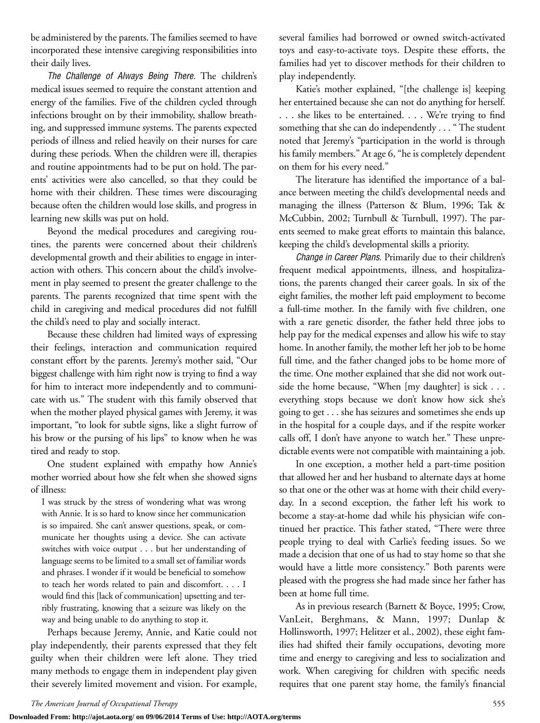be administered by the parents. The families seemed to have incorporated these intensive caregiving responsibilities into their daily lives.

*The Challenge of Always Being There.* The children's medical issues seemed to require the constant attention and energy of the families. Five of the children cycled through infections brought on by their immobility, shallow breathing, and suppressed immune systems. The parents expected periods of illness and relied heavily on their nurses for care during these periods. When the children were ill, therapies and routine appointments had to be put on hold. The parents' activities were also cancelled, so that they could be home with their children. These times were discouraging because often the children would lose skills, and progress in learning new skills was put on hold.

Beyond the medical procedures and caregiving routines, the parents were concerned about their children's developmental growth and their abilities to engage in interaction with others. This concern about the child's involvement in play seemed to present the greater challenge to the parents. The parents recognized that time spent with the child in caregiving and medical procedures did not fulfill the child's need to play and socially interact.

Because these children had limited ways of expressing their feelings, interaction and communication required constant effort by the parents. Jeremy's mother said, "Our biggest challenge with him right now is trying to find a way for him to interact more independently and to communicate with us." The student with this family observed that when the mother played physical games with Jeremy, it was important, "to look for subtle signs, like a slight furrow of his brow or the pursing of his lips" to know when he was tired and ready to stop.

One student explained with empathy how Annie's mother worried about how she felt when she showed signs of illness:

I was struck by the stress of wondering what was wrong with Annie. It is so hard to know since her communication is so impaired. She can't answer questions, speak, or communicate her thoughts using a device. She can activate switches with voice output . . . but her understanding of language seems to be limited to a small set of familiar words and phrases. I wonder if it would be beneficial to somehow to teach her words related to pain and discomfort. . . . I would find this [lack of communication] upsetting and terribly frustrating, knowing that a seizure was likely on the way and being unable to do anything to stop it.

Perhaps because Jeremy, Annie, and Katie could not play independently, their parents expressed that they felt guilty when their children were left alone. They tried many methods to engage them in independent play given their severely limited movement and vision. For example, several families had borrowed or owned switch-activated toys and easy-to-activate toys. Despite these efforts, the families had yet to discover methods for their children to play independently.

Katie's mother explained, "[the challenge is] keeping her entertained because she can not do anything for herself. . . . she likes to be entertained. . . . We're trying to find something that she can do independently . . . " The student noted that Jeremy's "participation in the world is through his family members." At age 6, "he is completely dependent on them for his every need."

The literature has identified the importance of a balance between meeting the child's developmental needs and managing the illness (Patterson & Blum, 1996; Tak & McCubbin, 2002; Turnbull & Turnbull, 1997). The parents seemed to make great efforts to maintain this balance, keeping the child's developmental skills a priority.

*Change in Career Plans.* Primarily due to their children's frequent medical appointments, illness, and hospitalizations, the parents changed their career goals. In six of the eight families, the mother left paid employment to become a full-time mother. In the family with five children, one with a rare genetic disorder, the father held three jobs to help pay for the medical expenses and allow his wife to stay home. In another family, the mother left her job to be home full time, and the father changed jobs to be home more of the time. One mother explained that she did not work outside the home because, "When [my daughter] is sick . . . everything stops because we don't know how sick she's going to get . . . she has seizures and sometimes she ends up in the hospital for a couple days, and if the respite worker calls off, I don't have anyone to watch her." These unpredictable events were not compatible with maintaining a job.

In one exception, a mother held a part-time position that allowed her and her husband to alternate days at home so that one or the other was at home with their child everyday. In a second exception, the father left his work to become a stay-at-home dad while his physician wife continued her practice. This father stated, "There were three people trying to deal with Carlie's feeding issues. So we made a decision that one of us had to stay home so that she would have a little more consistency." Both parents were pleased with the progress she had made since her father has been at home full time.

As in previous research (Barnett & Boyce, 1995; Crow, VanLeit, Berghmans, & Mann, 1997; Dunlap & Hollinsworth, 1997; Helitzer et al., 2002), these eight families had shifted their family occupations, devoting more time and energy to caregiving and less to socialization and work. When caregiving for children with specific needs requires that one parent stay home, the family's financial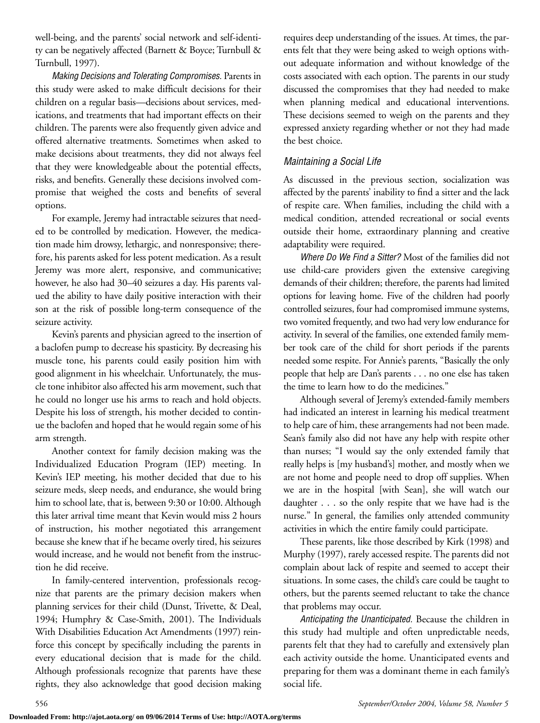well-being, and the parents' social network and self-identity can be negatively affected (Barnett & Boyce; Turnbull & Turnbull, 1997).

*Making Decisions and Tolerating Compromises.* Parents in this study were asked to make difficult decisions for their children on a regular basis—decisions about services, medications, and treatments that had important effects on their children. The parents were also frequently given advice and offered alternative treatments. Sometimes when asked to make decisions about treatments, they did not always feel that they were knowledgeable about the potential effects, risks, and benefits. Generally these decisions involved compromise that weighed the costs and benefits of several options.

For example, Jeremy had intractable seizures that needed to be controlled by medication. However, the medication made him drowsy, lethargic, and nonresponsive; therefore, his parents asked for less potent medication. As a result Jeremy was more alert, responsive, and communicative; however, he also had 30–40 seizures a day. His parents valued the ability to have daily positive interaction with their son at the risk of possible long-term consequence of the seizure activity.

Kevin's parents and physician agreed to the insertion of a baclofen pump to decrease his spasticity. By decreasing his muscle tone, his parents could easily position him with good alignment in his wheelchair. Unfortunately, the muscle tone inhibitor also affected his arm movement, such that he could no longer use his arms to reach and hold objects. Despite his loss of strength, his mother decided to continue the baclofen and hoped that he would regain some of his arm strength.

Another context for family decision making was the Individualized Education Program (IEP) meeting. In Kevin's IEP meeting, his mother decided that due to his seizure meds, sleep needs, and endurance, she would bring him to school late, that is, between 9:30 or 10:00. Although this later arrival time meant that Kevin would miss 2 hours of instruction, his mother negotiated this arrangement because she knew that if he became overly tired, his seizures would increase, and he would not benefit from the instruction he did receive.

In family-centered intervention, professionals recognize that parents are the primary decision makers when planning services for their child (Dunst, Trivette, & Deal, 1994; Humphry & Case-Smith, 2001). The Individuals With Disabilities Education Act Amendments (1997) reinforce this concept by specifically including the parents in every educational decision that is made for the child. Although professionals recognize that parents have these rights, they also acknowledge that good decision making requires deep understanding of the issues. At times, the parents felt that they were being asked to weigh options without adequate information and without knowledge of the costs associated with each option. The parents in our study discussed the compromises that they had needed to make when planning medical and educational interventions. These decisions seemed to weigh on the parents and they expressed anxiety regarding whether or not they had made the best choice.

# *Maintaining a Social Life*

As discussed in the previous section, socialization was affected by the parents' inability to find a sitter and the lack of respite care. When families, including the child with a medical condition, attended recreational or social events outside their home, extraordinary planning and creative adaptability were required.

*Where Do We Find a Sitter?* Most of the families did not use child-care providers given the extensive caregiving demands of their children; therefore, the parents had limited options for leaving home. Five of the children had poorly controlled seizures, four had compromised immune systems, two vomited frequently, and two had very low endurance for activity. In several of the families, one extended family member took care of the child for short periods if the parents needed some respite. For Annie's parents, "Basically the only people that help are Dan's parents . . . no one else has taken the time to learn how to do the medicines."

Although several of Jeremy's extended-family members had indicated an interest in learning his medical treatment to help care of him, these arrangements had not been made. Sean's family also did not have any help with respite other than nurses; "I would say the only extended family that really helps is [my husband's] mother, and mostly when we are not home and people need to drop off supplies. When we are in the hospital [with Sean], she will watch our daughter . . . so the only respite that we have had is the nurse." In general, the families only attended community activities in which the entire family could participate.

These parents, like those described by Kirk (1998) and Murphy (1997), rarely accessed respite. The parents did not complain about lack of respite and seemed to accept their situations. In some cases, the child's care could be taught to others, but the parents seemed reluctant to take the chance that problems may occur.

*Anticipating the Unanticipated.* Because the children in this study had multiple and often unpredictable needs, parents felt that they had to carefully and extensively plan each activity outside the home. Unanticipated events and preparing for them was a dominant theme in each family's social life.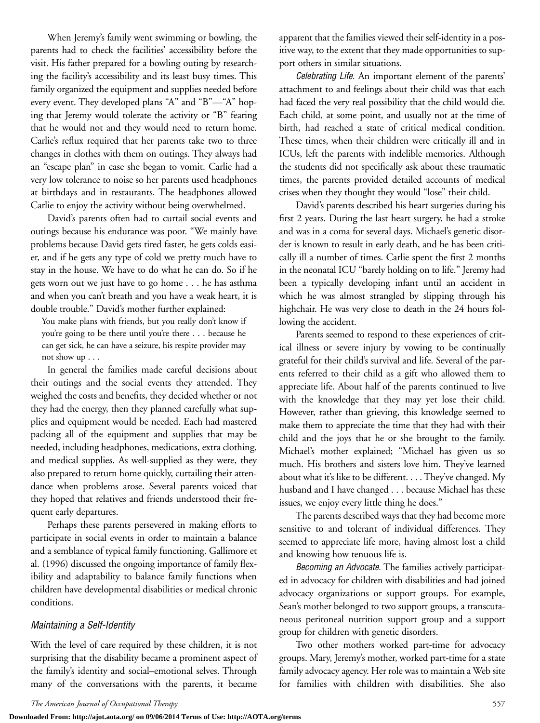When Jeremy's family went swimming or bowling, the parents had to check the facilities' accessibility before the visit. His father prepared for a bowling outing by researching the facility's accessibility and its least busy times. This family organized the equipment and supplies needed before every event. They developed plans "A" and "B"—"A" hoping that Jeremy would tolerate the activity or "B" fearing that he would not and they would need to return home. Carlie's reflux required that her parents take two to three changes in clothes with them on outings. They always had an "escape plan" in case she began to vomit. Carlie had a very low tolerance to noise so her parents used headphones at birthdays and in restaurants. The headphones allowed Carlie to enjoy the activity without being overwhelmed.

David's parents often had to curtail social events and outings because his endurance was poor. "We mainly have problems because David gets tired faster, he gets colds easier, and if he gets any type of cold we pretty much have to stay in the house. We have to do what he can do. So if he gets worn out we just have to go home . . . he has asthma and when you can't breath and you have a weak heart, it is double trouble." David's mother further explained:

You make plans with friends, but you really don't know if you're going to be there until you're there . . . because he can get sick, he can have a seizure, his respite provider may not show up . . .

In general the families made careful decisions about their outings and the social events they attended. They weighed the costs and benefits, they decided whether or not they had the energy, then they planned carefully what supplies and equipment would be needed. Each had mastered packing all of the equipment and supplies that may be needed, including headphones, medications, extra clothing, and medical supplies. As well-supplied as they were, they also prepared to return home quickly, curtailing their attendance when problems arose. Several parents voiced that they hoped that relatives and friends understood their frequent early departures.

Perhaps these parents persevered in making efforts to participate in social events in order to maintain a balance and a semblance of typical family functioning. Gallimore et al. (1996) discussed the ongoing importance of family flexibility and adaptability to balance family functions when children have developmental disabilities or medical chronic conditions.

#### *Maintaining a Self-Identity*

With the level of care required by these children, it is not surprising that the disability became a prominent aspect of the family's identity and social–emotional selves. Through many of the conversations with the parents, it became

apparent that the families viewed their self-identity in a positive way, to the extent that they made opportunities to support others in similar situations.

*Celebrating Life.* An important element of the parents' attachment to and feelings about their child was that each had faced the very real possibility that the child would die. Each child, at some point, and usually not at the time of birth, had reached a state of critical medical condition. These times, when their children were critically ill and in ICUs, left the parents with indelible memories. Although the students did not specifically ask about these traumatic times, the parents provided detailed accounts of medical crises when they thought they would "lose" their child.

David's parents described his heart surgeries during his first 2 years. During the last heart surgery, he had a stroke and was in a coma for several days. Michael's genetic disorder is known to result in early death, and he has been critically ill a number of times. Carlie spent the first 2 months in the neonatal ICU "barely holding on to life." Jeremy had been a typically developing infant until an accident in which he was almost strangled by slipping through his highchair. He was very close to death in the 24 hours following the accident.

Parents seemed to respond to these experiences of critical illness or severe injury by vowing to be continually grateful for their child's survival and life. Several of the parents referred to their child as a gift who allowed them to appreciate life. About half of the parents continued to live with the knowledge that they may yet lose their child. However, rather than grieving, this knowledge seemed to make them to appreciate the time that they had with their child and the joys that he or she brought to the family. Michael's mother explained; "Michael has given us so much. His brothers and sisters love him. They've learned about what it's like to be different. . . . They've changed. My husband and I have changed . . . because Michael has these issues, we enjoy every little thing he does."

The parents described ways that they had become more sensitive to and tolerant of individual differences. They seemed to appreciate life more, having almost lost a child and knowing how tenuous life is.

*Becoming an Advocate.* The families actively participated in advocacy for children with disabilities and had joined advocacy organizations or support groups. For example, Sean's mother belonged to two support groups, a transcutaneous peritoneal nutrition support group and a support group for children with genetic disorders.

Two other mothers worked part-time for advocacy groups. Mary, Jeremy's mother, worked part-time for a state family advocacy agency. Her role was to maintain a Web site for families with children with disabilities. She also

**Downloaded From: http://ajot.aota.org/ on 09/06/2014 Terms of Use: http://AOTA.org/terms**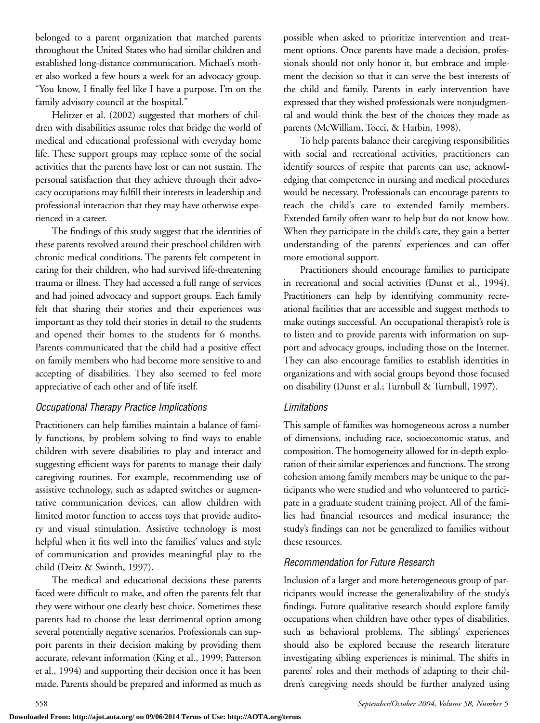belonged to a parent organization that matched parents throughout the United States who had similar children and established long-distance communication. Michael's mother also worked a few hours a week for an advocacy group. "You know, I finally feel like I have a purpose. I'm on the family advisory council at the hospital."

Helitzer et al. (2002) suggested that mothers of children with disabilities assume roles that bridge the world of medical and educational professional with everyday home life. These support groups may replace some of the social activities that the parents have lost or can not sustain. The personal satisfaction that they achieve through their advocacy occupations may fulfill their interests in leadership and professional interaction that they may have otherwise experienced in a career.

The findings of this study suggest that the identities of these parents revolved around their preschool children with chronic medical conditions. The parents felt competent in caring for their children, who had survived life-threatening trauma or illness. They had accessed a full range of services and had joined advocacy and support groups. Each family felt that sharing their stories and their experiences was important as they told their stories in detail to the students and opened their homes to the students for 6 months. Parents communicated that the child had a positive effect on family members who had become more sensitive to and accepting of disabilities. They also seemed to feel more appreciative of each other and of life itself.

# *Occupational Therapy Practice Implications*

Practitioners can help families maintain a balance of family functions, by problem solving to find ways to enable children with severe disabilities to play and interact and suggesting efficient ways for parents to manage their daily caregiving routines. For example, recommending use of assistive technology, such as adapted switches or augmentative communication devices, can allow children with limited motor function to access toys that provide auditory and visual stimulation. Assistive technology is most helpful when it fits well into the families' values and style of communication and provides meaningful play to the child (Deitz & Swinth, 1997).

The medical and educational decisions these parents faced were difficult to make, and often the parents felt that they were without one clearly best choice. Sometimes these parents had to choose the least detrimental option among several potentially negative scenarios. Professionals can support parents in their decision making by providing them accurate, relevant information (King et al., 1999; Patterson et al., 1994) and supporting their decision once it has been made. Parents should be prepared and informed as much as

possible when asked to prioritize intervention and treatment options. Once parents have made a decision, professionals should not only honor it, but embrace and implement the decision so that it can serve the best interests of the child and family. Parents in early intervention have expressed that they wished professionals were nonjudgmental and would think the best of the choices they made as parents (McWilliam, Tocci, & Harbin, 1998).

To help parents balance their caregiving responsibilities with social and recreational activities, practitioners can identify sources of respite that parents can use, acknowledging that competence in nursing and medical procedures would be necessary. Professionals can encourage parents to teach the child's care to extended family members. Extended family often want to help but do not know how. When they participate in the child's care, they gain a better understanding of the parents' experiences and can offer more emotional support.

Practitioners should encourage families to participate in recreational and social activities (Dunst et al., 1994). Practitioners can help by identifying community recreational facilities that are accessible and suggest methods to make outings successful. An occupational therapist's role is to listen and to provide parents with information on support and advocacy groups, including those on the Internet. They can also encourage families to establish identities in organizations and with social groups beyond those focused on disability (Dunst et al.; Turnbull & Turnbull, 1997).

# *Limitations*

This sample of families was homogeneous across a number of dimensions, including race, socioeconomic status, and composition. The homogeneity allowed for in-depth exploration of their similar experiences and functions. The strong cohesion among family members may be unique to the participants who were studied and who volunteered to participate in a graduate student training project. All of the families had financial resources and medical insurance; the study's findings can not be generalized to families without these resources.

# *Recommendation for Future Research*

Inclusion of a larger and more heterogeneous group of participants would increase the generalizability of the study's findings. Future qualitative research should explore family occupations when children have other types of disabilities, such as behavioral problems. The siblings' experiences should also be explored because the research literature investigating sibling experiences is minimal. The shifts in parents' roles and their methods of adapting to their children's caregiving needs should be further analyzed using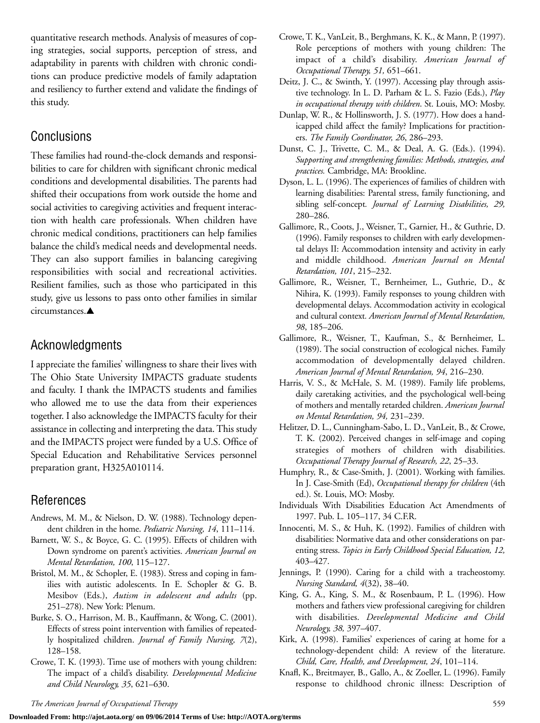quantitative research methods. Analysis of measures of coping strategies, social supports, perception of stress, and adaptability in parents with children with chronic conditions can produce predictive models of family adaptation and resiliency to further extend and validate the findings of this study.

# **Conclusions**

These families had round-the-clock demands and responsibilities to care for children with significant chronic medical conditions and developmental disabilities. The parents had shifted their occupations from work outside the home and social activities to caregiving activities and frequent interaction with health care professionals. When children have chronic medical conditions, practitioners can help families balance the child's medical needs and developmental needs. They can also support families in balancing caregiving responsibilities with social and recreational activities. Resilient families, such as those who participated in this study, give us lessons to pass onto other families in similar circumstances.▲

# Acknowledgments

I appreciate the families' willingness to share their lives with The Ohio State University IMPACTS graduate students and faculty. I thank the IMPACTS students and families who allowed me to use the data from their experiences together. I also acknowledge the IMPACTS faculty for their assistance in collecting and interpreting the data. This study and the IMPACTS project were funded by a U.S. Office of Special Education and Rehabilitative Services personnel preparation grant, H325A010114.

# References

- Andrews, M. M., & Nielson, D. W. (1988). Technology dependent children in the home. *Pediatric Nursing, 14*, 111–114.
- Barnett, W. S., & Boyce, G. C. (1995). Effects of children with Down syndrome on parent's activities. *American Journal on Mental Retardation, 100*, 115–127.
- Bristol, M. M., & Schopler, E. (1983). Stress and coping in families with autistic adolescents. In E. Schopler & G. B. Mesibov (Eds.), *Autism in adolescent and adults* (pp. 251–278). New York: Plenum.
- Burke, S. O., Harrison, M. B., Kauffmann, & Wong, C. (2001). Effects of stress point intervention with families of repeatedly hospitalized children. *Journal of Family Nursing, 7*(2), 128–158.
- Crowe, T. K. (1993). Time use of mothers with young children: The impact of a child's disability. *Developmental Medicine and Child Neurology, 35*, 621–630.
- Crowe, T. K., VanLeit, B., Berghmans, K. K., & Mann, P. (1997). Role perceptions of mothers with young children: The impact of a child's disability. *American Journal of Occupational Therapy, 51,* 651–661.
- Deitz, J. C., & Swinth, Y. (1997). Accessing play through assistive technology. In L. D. Parham & L. S. Fazio (Eds.), *Play in occupational therapy with children*. St. Louis, MO: Mosby.
- Dunlap, W. R., & Hollinsworth, J. S. (1977). How does a handicapped child affect the family? Implications for practitioners. *The Family Coordinator, 26*, 286–293.
- Dunst, C. J., Trivette, C. M., & Deal, A. G. (Eds.). (1994). *Supporting and strengthening families: Methods, strategies, and practices.* Cambridge, MA: Brookline.
- Dyson, L. L. (1996). The experiences of families of children with learning disabilities: Parental stress, family functioning, and sibling self-concept*. Journal of Learning Disabilities, 29,* 280–286.
- Gallimore, R., Coots, J., Weisner, T., Garnier, H., & Guthrie, D. (1996). Family responses to children with early developmental delays II: Accommodation intensity and activity in early and middle childhood. *American Journal on Mental Retardation, 101*, 215–232.
- Gallimore, R., Weisner, T., Bernheimer, L., Guthrie, D., & Nihira, K. (1993). Family responses to young children with developmental delays. Accommodation activity in ecological and cultural context*. American Journal of Mental Retardation, 98*, 185–206.
- Gallimore, R., Weisner, T., Kaufman, S., & Bernheimer, L. (1989). The social construction of ecological niches. Family accommodation of developmentally delayed children. *American Journal of Mental Retardation, 94*, 216–230.
- Harris, V. S., & McHale, S. M. (1989). Family life problems, daily caretaking activities, and the psychological well-being of mothers and mentally retarded children. *American Journal on Mental Retardation, 94,* 231–239.
- Helitzer, D. L., Cunningham-Sabo, L. D., VanLeit, B., & Crowe, T. K. (2002). Perceived changes in self-image and coping strategies of mothers of children with disabilities. *Occupational Therapy Journal of Research, 22*, 25–33.
- Humphry, R., & Case-Smith, J. (2001). Working with families. In J. Case-Smith (Ed), *Occupational therapy for children* (4th ed.). St. Louis, MO: Mosby.
- Individuals With Disabilities Education Act Amendments of 1997. Pub. L. 105–117, 34 C.F.R.
- Innocenti, M. S., & Huh, K. (1992). Families of children with disabilities: Normative data and other considerations on parenting stress. *Topics in Early Childhood Special Education, 12,* 403–427.
- Jennings, P. (1990). Caring for a child with a tracheostomy. *Nursing Standard, 4*(32), 38–40.
- King, G. A., King, S. M., & Rosenbaum, P. L. (1996). How mothers and fathers view professional caregiving for children with disabilities. *Developmental Medicine and Child Neurology, 38,* 397–407.
- Kirk, A. (1998). Families' experiences of caring at home for a technology-dependent child: A review of the literature. *Child, Care, Health, and Development, 24*, 101–114.
- Knafl, K., Breitmayer, B., Gallo, A., & Zoeller, L. (1996). Family response to childhood chronic illness: Description of

**Downloaded From: http://ajot.aota.org/ on 09/06/2014 Terms of Use: http://AOTA.org/terms**